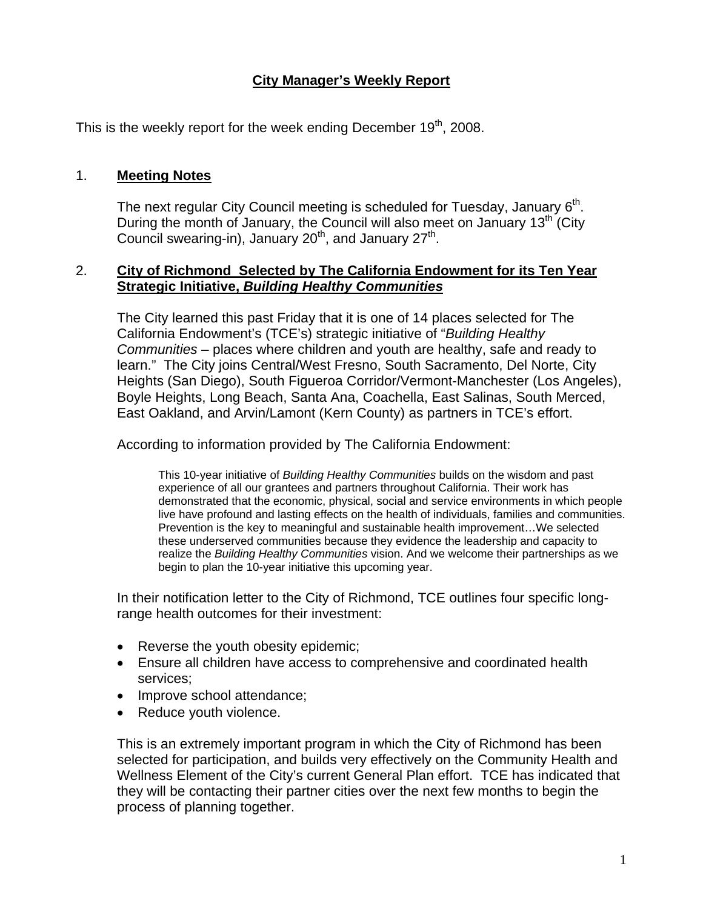# **City Manager's Weekly Report**

This is the weekly report for the week ending December  $19<sup>th</sup>$ , 2008.

### 1. **Meeting Notes**

The next regular City Council meeting is scheduled for Tuesday, January  $6<sup>th</sup>$ . During the month of January, the Council will also meet on January  $13<sup>th</sup>$  (City Council swearing-in), January  $20<sup>th</sup>$ , and January  $27<sup>th</sup>$ .

#### 2. **City of Richmond Selected by The California Endowment for its Ten Year Strategic Initiative,** *Building Healthy Communities*

The City learned this past Friday that it is one of 14 places selected for The California Endowment's (TCE's) strategic initiative of "*Building Healthy Communities* – places where children and youth are healthy, safe and ready to learn." The City joins Central/West Fresno, South Sacramento, Del Norte, City Heights (San Diego), South Figueroa Corridor/Vermont-Manchester (Los Angeles), Boyle Heights, Long Beach, Santa Ana, Coachella, East Salinas, South Merced, East Oakland, and Arvin/Lamont (Kern County) as partners in TCE's effort.

According to information provided by The California Endowment:

This 10-year initiative of *Building Healthy Communities* builds on the wisdom and past experience of all our grantees and partners throughout California. Their work has demonstrated that the economic, physical, social and service environments in which people live have profound and lasting effects on the health of individuals, families and communities. Prevention is the key to meaningful and sustainable health improvement…We selected these underserved communities because they evidence the leadership and capacity to realize the *Building Healthy Communities* vision. And we welcome their partnerships as we begin to plan the 10-year initiative this upcoming year.

In their notification letter to the City of Richmond, TCE outlines four specific longrange health outcomes for their investment:

- Reverse the youth obesity epidemic;
- Ensure all children have access to comprehensive and coordinated health services;
- Improve school attendance;
- Reduce youth violence.

This is an extremely important program in which the City of Richmond has been selected for participation, and builds very effectively on the Community Health and Wellness Element of the City's current General Plan effort. TCE has indicated that they will be contacting their partner cities over the next few months to begin the process of planning together.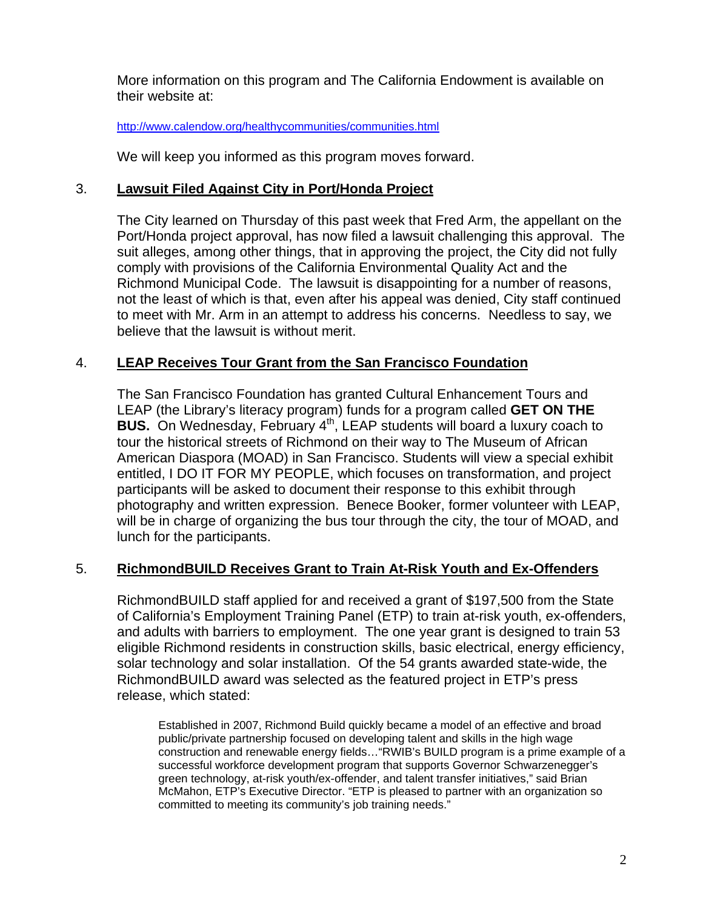More information on this program and The California Endowment is available on their website at:

#### <http://www.calendow.org/healthycommunities/communities.html>

We will keep you informed as this program moves forward.

### 3. **Lawsuit Filed Against City in Port/Honda Project**

The City learned on Thursday of this past week that Fred Arm, the appellant on the Port/Honda project approval, has now filed a lawsuit challenging this approval. The suit alleges, among other things, that in approving the project, the City did not fully comply with provisions of the California Environmental Quality Act and the Richmond Municipal Code. The lawsuit is disappointing for a number of reasons, not the least of which is that, even after his appeal was denied, City staff continued to meet with Mr. Arm in an attempt to address his concerns. Needless to say, we believe that the lawsuit is without merit.

### 4. **LEAP Receives Tour Grant from the San Francisco Foundation**

The San Francisco Foundation has granted Cultural Enhancement Tours and LEAP (the Library's literacy program) funds for a program called **GET ON THE BUS.** On Wednesday, February 4<sup>th</sup>, LEAP students will board a luxury coach to tour the historical streets of Richmond on their way to The Museum of African American Diaspora (MOAD) in San Francisco. Students will view a special exhibit entitled, I DO IT FOR MY PEOPLE, which focuses on transformation, and project participants will be asked to document their response to this exhibit through photography and written expression. Benece Booker, former volunteer with LEAP, will be in charge of organizing the bus tour through the city, the tour of MOAD, and lunch for the participants.

#### 5. **RichmondBUILD Receives Grant to Train At-Risk Youth and Ex-Offenders**

RichmondBUILD staff applied for and received a grant of \$197,500 from the State of California's Employment Training Panel (ETP) to train at-risk youth, ex-offenders, and adults with barriers to employment. The one year grant is designed to train 53 eligible Richmond residents in construction skills, basic electrical, energy efficiency, solar technology and solar installation. Of the 54 grants awarded state-wide, the RichmondBUILD award was selected as the featured project in ETP's press release, which stated:

Established in 2007, Richmond Build quickly became a model of an effective and broad public/private partnership focused on developing talent and skills in the high wage construction and renewable energy fields... "RWIB's BUILD program is a prime example of a successful workforce development program that supports Governor Schwarzenegger's green technology, at-risk youth/ex-offender, and talent transfer initiatives," said Brian McMahon, ETP's Executive Director. "ETP is pleased to partner with an organization so committed to meeting its community's job training needs."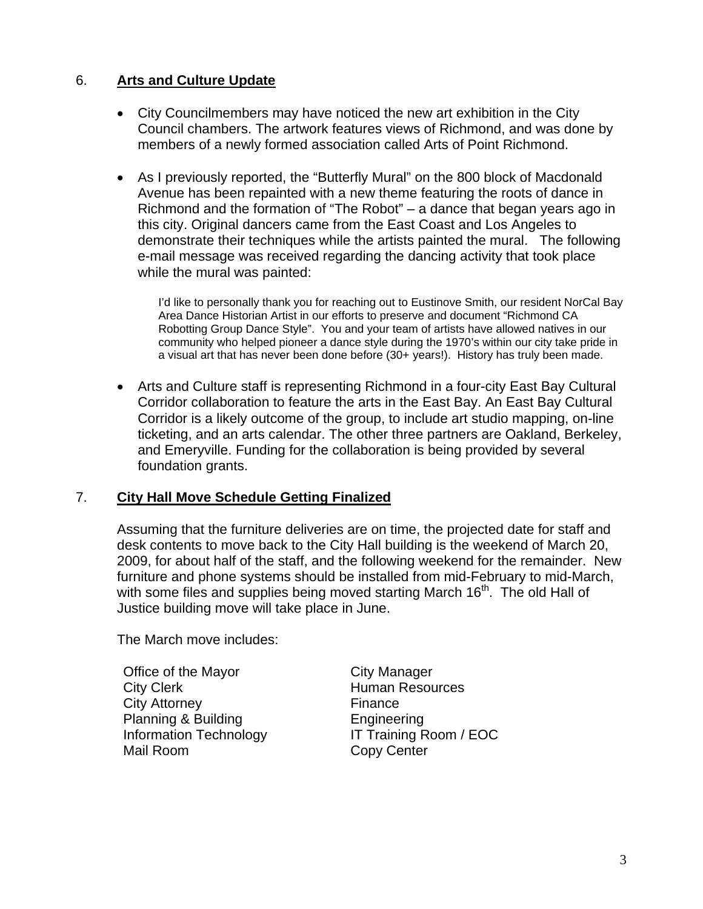## 6. **Arts and Culture Update**

- City Councilmembers may have noticed the new art exhibition in the City Council chambers. The artwork features views of Richmond, and was done by members of a newly formed association called Arts of Point Richmond.
- As I previously reported, the "Butterfly Mural" on the 800 block of Macdonald Avenue has been repainted with a new theme featuring the roots of dance in Richmond and the formation of "The Robot" – a dance that began years ago in this city. Original dancers came from the East Coast and Los Angeles to demonstrate their techniques while the artists painted the mural. The following e-mail message was received regarding the dancing activity that took place while the mural was painted:

I'd like to personally thank you for reaching out to Eustinove Smith, our resident NorCal Bay Area Dance Historian Artist in our efforts to preserve and document "Richmond CA Robotting Group Dance Style". You and your team of artists have allowed natives in our community who helped pioneer a dance style during the 1970's within our city take pride in a visual art that has never been done before (30+ years!). History has truly been made.

• Arts and Culture staff is representing Richmond in a four-city East Bay Cultural Corridor collaboration to feature the arts in the East Bay. An East Bay Cultural Corridor is a likely outcome of the group, to include art studio mapping, on-line ticketing, and an arts calendar. The other three partners are Oakland, Berkeley, and Emeryville. Funding for the collaboration is being provided by several foundation grants.

#### 7. **City Hall Move Schedule Getting Finalized**

Assuming that the furniture deliveries are on time, the projected date for staff and desk contents to move back to the City Hall building is the weekend of March 20, 2009, for about half of the staff, and the following weekend for the remainder. New furniture and phone systems should be installed from mid-February to mid-March, with some files and supplies being moved starting March  $16<sup>th</sup>$ . The old Hall of Justice building move will take place in June.

The March move includes:

Office of the Mayor City Manager City Clerk **Human Resources** City Attorney **Example 20** Finance Planning & Building **Engineering** Mail Room Copy Center

Information Technology IT Training Room / EOC